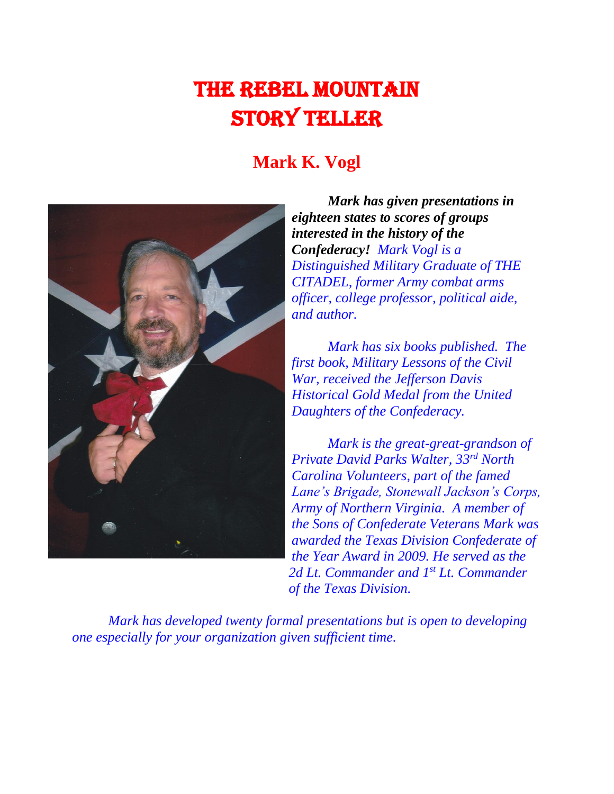# The Rebel Mountain Story Teller

# **Mark K. Vogl**



*Mark has given presentations in eighteen states to scores of groups interested in the history of the Confederacy! Mark Vogl is a Distinguished Military Graduate of THE CITADEL, former Army combat arms officer, college professor, political aide, and author.* 

*Mark has six books published. The first book, Military Lessons of the Civil War, received the Jefferson Davis Historical Gold Medal from the United Daughters of the Confederacy.* 

*Mark is the great-great-grandson of Private David Parks Walter, 33rd North Carolina Volunteers, part of the famed Lane's Brigade, Stonewall Jackson's Corps, Army of Northern Virginia. A member of the Sons of Confederate Veterans Mark was awarded the Texas Division Confederate of the Year Award in 2009. He served as the*  2d Lt. Commander and 1<sup>st</sup> Lt. Commander *of the Texas Division.*

*Mark has developed twenty formal presentations but is open to developing one especially for your organization given sufficient time.*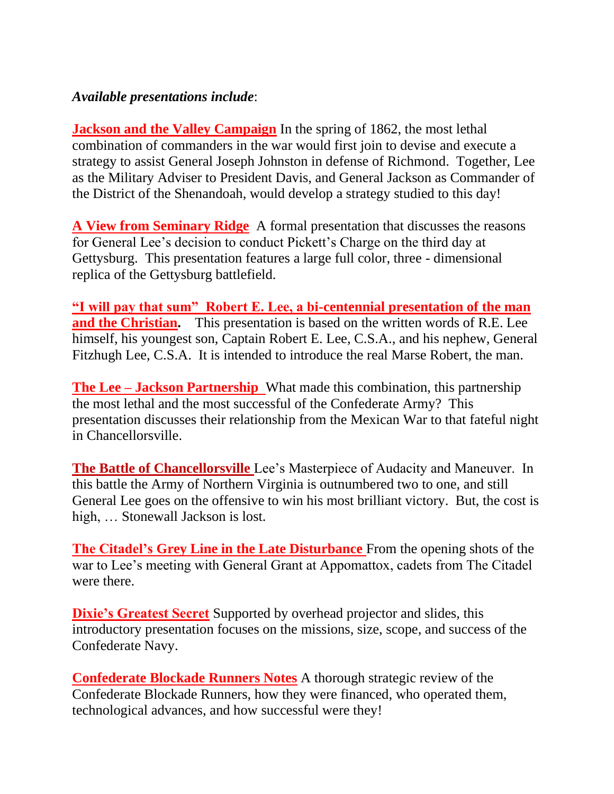#### *Available presentations include*:

**Jackson and the Valley Campaign** In the spring of 1862, the most lethal combination of commanders in the war would first join to devise and execute a strategy to assist General Joseph Johnston in defense of Richmond. Together, Lee as the Military Adviser to President Davis, and General Jackson as Commander of the District of the Shenandoah, would develop a strategy studied to this day!

**A View from Seminary Ridge** A formal presentation that discusses the reasons for General Lee's decision to conduct Pickett's Charge on the third day at Gettysburg. This presentation features a large full color, three - dimensional replica of the Gettysburg battlefield.

**"I will pay that sum" Robert E. Lee, a bi-centennial presentation of the man and the Christian.** This presentation is based on the written words of R.E. Lee himself, his youngest son, Captain Robert E. Lee, C.S.A., and his nephew, General Fitzhugh Lee, C.S.A. It is intended to introduce the real Marse Robert, the man.

**The Lee – Jackson Partnership** What made this combination, this partnership the most lethal and the most successful of the Confederate Army? This presentation discusses their relationship from the Mexican War to that fateful night in Chancellorsville.

**The Battle of Chancellorsville** Lee's Masterpiece of Audacity and Maneuver. In this battle the Army of Northern Virginia is outnumbered two to one, and still General Lee goes on the offensive to win his most brilliant victory. But, the cost is high, … Stonewall Jackson is lost.

**The Citadel's Grey Line in the Late Disturbance** From the opening shots of the war to Lee's meeting with General Grant at Appomattox, cadets from The Citadel were there.

**Dixie's Greatest Secret** Supported by overhead projector and slides, this introductory presentation focuses on the missions, size, scope, and success of the Confederate Navy.

**Confederate Blockade Runners Notes** A thorough strategic review of the Confederate Blockade Runners, how they were financed, who operated them, technological advances, and how successful were they!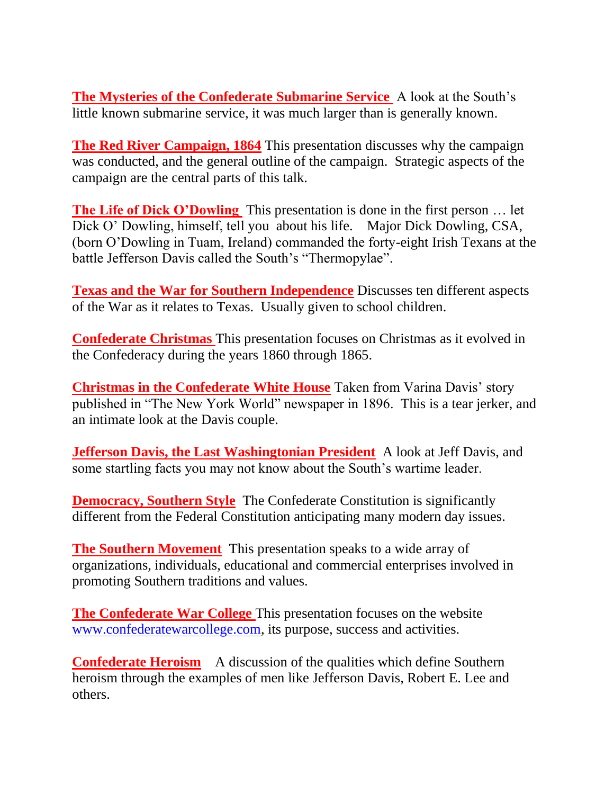**The Mysteries of the Confederate Submarine Service** A look at the South's little known submarine service, it was much larger than is generally known.

**The Red River Campaign, 1864** This presentation discusses why the campaign was conducted, and the general outline of the campaign. Strategic aspects of the campaign are the central parts of this talk.

**The Life of Dick O'Dowling** This presentation is done in the first person … let Dick O' Dowling, himself, tell you about his life. Major Dick Dowling, CSA, (born O'Dowling in Tuam, Ireland) commanded the forty-eight Irish Texans at the battle Jefferson Davis called the South's "Thermopylae".

**Texas and the War for Southern Independence** Discusses ten different aspects of the War as it relates to Texas. Usually given to school children.

**Confederate Christmas** This presentation focuses on Christmas as it evolved in the Confederacy during the years 1860 through 1865.

**Christmas in the Confederate White House** Taken from Varina Davis' story published in "The New York World" newspaper in 1896. This is a tear jerker, and an intimate look at the Davis couple.

**Jefferson Davis, the Last Washingtonian President** A look at Jeff Davis, and some startling facts you may not know about the South's wartime leader.

**Democracy, Southern Style** The Confederate Constitution is significantly different from the Federal Constitution anticipating many modern day issues.

**The Southern Movement** This presentation speaks to a wide array of organizations, individuals, educational and commercial enterprises involved in promoting Southern traditions and values.

**The Confederate War College** This presentation focuses on the website [www.confederatewarcollege.com,](http://www.confederatewarcollege.com/) its purpose, success and activities.

**Confederate Heroism** A discussion of the qualities which define Southern heroism through the examples of men like Jefferson Davis, Robert E. Lee and others.